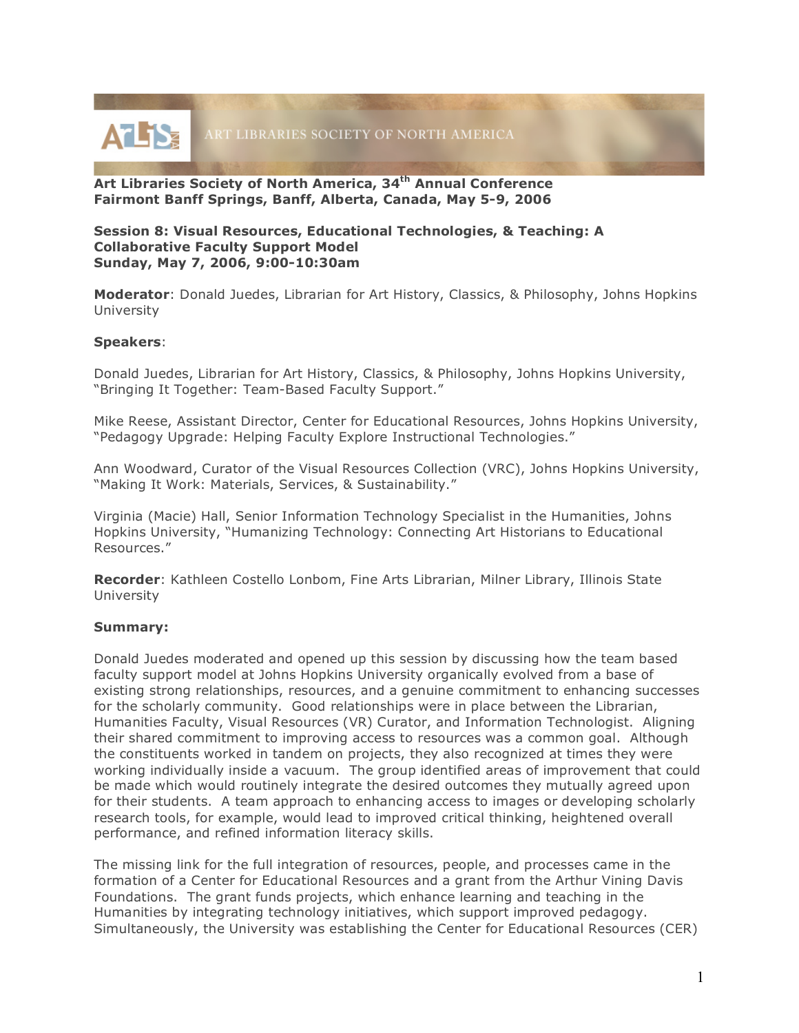

**Art Libraries Society of North America, 34th Annual Conference Fairmont Banff Springs, Banff, Alberta, Canada, May 5-9, 2006**

## **Session 8: Visual Resources, Educational Technologies, & Teaching: A Collaborative Faculty Support Model Sunday, May 7, 2006, 9:00-10:30am**

**Moderator**: Donald Juedes, Librarian for Art History, Classics, & Philosophy, Johns Hopkins University

## **Speakers**:

Donald Juedes, Librarian for Art History, Classics, & Philosophy, Johns Hopkins University, "Bringing It Together: Team-Based Faculty Support."

Mike Reese, Assistant Director, Center for Educational Resources, Johns Hopkins University, "Pedagogy Upgrade: Helping Faculty Explore Instructional Technologies."

Ann Woodward, Curator of the Visual Resources Collection (VRC), Johns Hopkins University, "Making It Work: Materials, Services, & Sustainability."

Virginia (Macie) Hall, Senior Information Technology Specialist in the Humanities, Johns Hopkins University, "Humanizing Technology: Connecting Art Historians to Educational Resources."

**Recorder**: Kathleen Costello Lonbom, Fine Arts Librarian, Milner Library, Illinois State University

## **Summary:**

Donald Juedes moderated and opened up this session by discussing how the team based faculty support model at Johns Hopkins University organically evolved from a base of existing strong relationships, resources, and a genuine commitment to enhancing successes for the scholarly community. Good relationships were in place between the Librarian, Humanities Faculty, Visual Resources (VR) Curator, and Information Technologist. Aligning their shared commitment to improving access to resources was a common goal. Although the constituents worked in tandem on projects, they also recognized at times they were working individually inside a vacuum. The group identified areas of improvement that could be made which would routinely integrate the desired outcomes they mutually agreed upon for their students. A team approach to enhancing access to images or developing scholarly research tools, for example, would lead to improved critical thinking, heightened overall performance, and refined information literacy skills.

The missing link for the full integration of resources, people, and processes came in the formation of a Center for Educational Resources and a grant from the Arthur Vining Davis Foundations. The grant funds projects, which enhance learning and teaching in the Humanities by integrating technology initiatives, which support improved pedagogy. Simultaneously, the University was establishing the Center for Educational Resources (CER)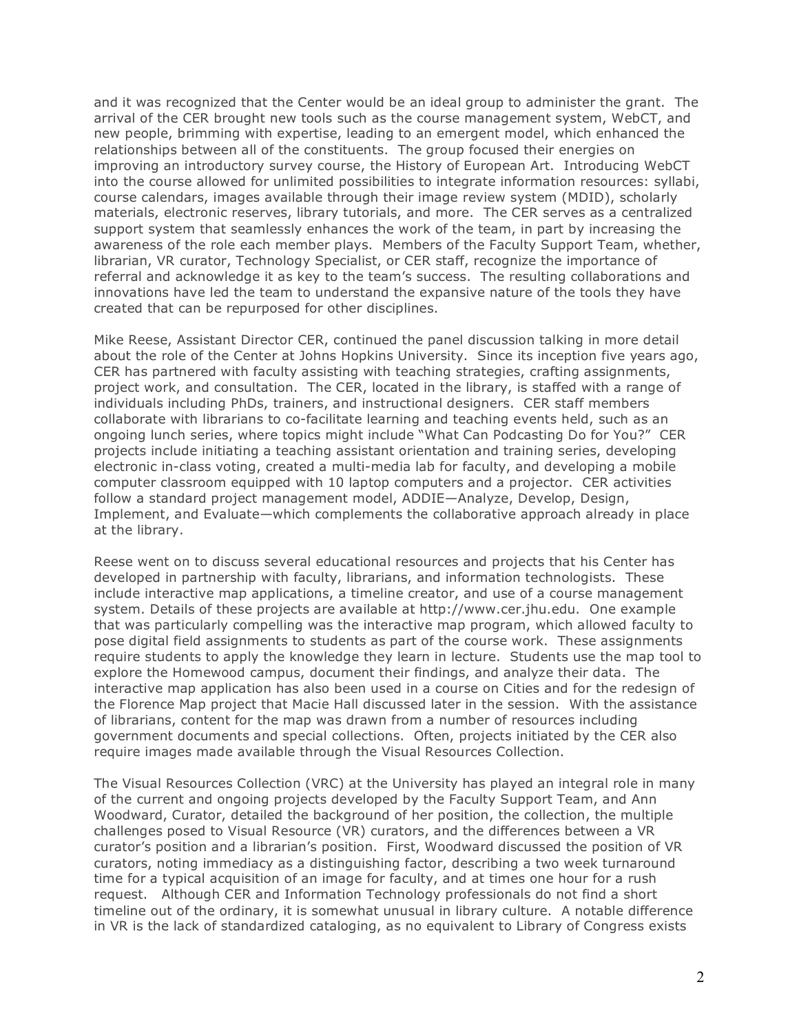and it was recognized that the Center would be an ideal group to administer the grant. The arrival of the CER brought new tools such as the course management system, WebCT, and new people, brimming with expertise, leading to an emergent model, which enhanced the relationships between all of the constituents. The group focused their energies on improving an introductory survey course, the History of European Art. Introducing WebCT into the course allowed for unlimited possibilities to integrate information resources: syllabi, course calendars, images available through their image review system (MDID), scholarly materials, electronic reserves, library tutorials, and more. The CER serves as a centralized support system that seamlessly enhances the work of the team, in part by increasing the awareness of the role each member plays. Members of the Faculty Support Team, whether, librarian, VR curator, Technology Specialist, or CER staff, recognize the importance of referral and acknowledge it as key to the team's success. The resulting collaborations and innovations have led the team to understand the expansive nature of the tools they have created that can be repurposed for other disciplines.

Mike Reese, Assistant Director CER, continued the panel discussion talking in more detail about the role of the Center at Johns Hopkins University. Since its inception five years ago, CER has partnered with faculty assisting with teaching strategies, crafting assignments, project work, and consultation. The CER, located in the library, is staffed with a range of individuals including PhDs, trainers, and instructional designers. CER staff members collaborate with librarians to co-facilitate learning and teaching events held, such as an ongoing lunch series, where topics might include "What Can Podcasting Do for You?" CER projects include initiating a teaching assistant orientation and training series, developing electronic in-class voting, created a multi-media lab for faculty, and developing a mobile computer classroom equipped with 10 laptop computers and a projector. CER activities follow a standard project management model, ADDIE—Analyze, Develop, Design, Implement, and Evaluate—which complements the collaborative approach already in place at the library.

Reese went on to discuss several educational resources and projects that his Center has developed in partnership with faculty, librarians, and information technologists. These include interactive map applications, a timeline creator, and use of a course management system. Details of these projects are available at http://www.cer.jhu.edu. One example that was particularly compelling was the interactive map program, which allowed faculty to pose digital field assignments to students as part of the course work. These assignments require students to apply the knowledge they learn in lecture. Students use the map tool to explore the Homewood campus, document their findings, and analyze their data. The interactive map application has also been used in a course on Cities and for the redesign of the Florence Map project that Macie Hall discussed later in the session. With the assistance of librarians, content for the map was drawn from a number of resources including government documents and special collections. Often, projects initiated by the CER also require images made available through the Visual Resources Collection.

The Visual Resources Collection (VRC) at the University has played an integral role in many of the current and ongoing projects developed by the Faculty Support Team, and Ann Woodward, Curator, detailed the background of her position, the collection, the multiple challenges posed to Visual Resource (VR) curators, and the differences between a VR curator's position and a librarian's position. First, Woodward discussed the position of VR curators, noting immediacy as a distinguishing factor, describing a two week turnaround time for a typical acquisition of an image for faculty, and at times one hour for a rush request. Although CER and Information Technology professionals do not find a short timeline out of the ordinary, it is somewhat unusual in library culture. A notable difference in VR is the lack of standardized cataloging, as no equivalent to Library of Congress exists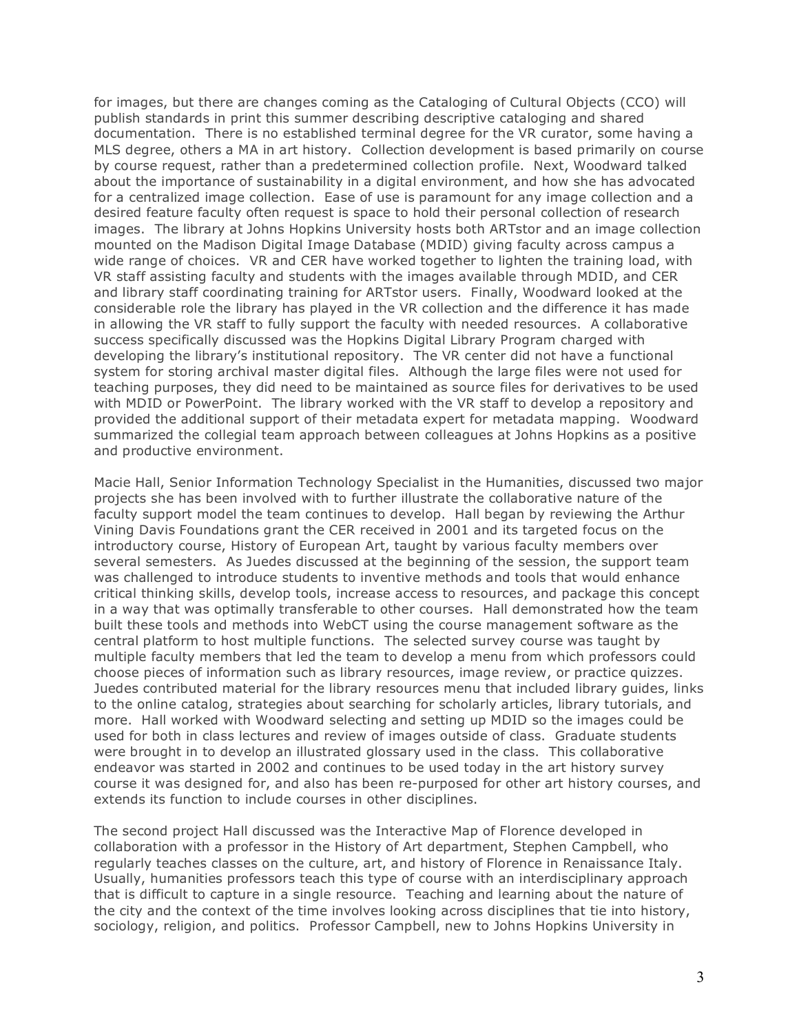for images, but there are changes coming as the Cataloging of Cultural Objects (CCO) will publish standards in print this summer describing descriptive cataloging and shared documentation. There is no established terminal degree for the VR curator, some having a MLS degree, others a MA in art history. Collection development is based primarily on course by course request, rather than a predetermined collection profile. Next, Woodward talked about the importance of sustainability in a digital environment, and how she has advocated for a centralized image collection. Ease of use is paramount for any image collection and a desired feature faculty often request is space to hold their personal collection of research images. The library at Johns Hopkins University hosts both ARTstor and an image collection mounted on the Madison Digital Image Database (MDID) giving faculty across campus a wide range of choices. VR and CER have worked together to lighten the training load, with VR staff assisting faculty and students with the images available through MDID, and CER and library staff coordinating training for ARTstor users. Finally, Woodward looked at the considerable role the library has played in the VR collection and the difference it has made in allowing the VR staff to fully support the faculty with needed resources. A collaborative success specifically discussed was the Hopkins Digital Library Program charged with developing the library's institutional repository. The VR center did not have a functional system for storing archival master digital files. Although the large files were not used for teaching purposes, they did need to be maintained as source files for derivatives to be used with MDID or PowerPoint. The library worked with the VR staff to develop a repository and provided the additional support of their metadata expert for metadata mapping. Woodward summarized the collegial team approach between colleagues at Johns Hopkins as a positive and productive environment.

Macie Hall, Senior Information Technology Specialist in the Humanities, discussed two major projects she has been involved with to further illustrate the collaborative nature of the faculty support model the team continues to develop. Hall began by reviewing the Arthur Vining Davis Foundations grant the CER received in 2001 and its targeted focus on the introductory course, History of European Art, taught by various faculty members over several semesters. As Juedes discussed at the beginning of the session, the support team was challenged to introduce students to inventive methods and tools that would enhance critical thinking skills, develop tools, increase access to resources, and package this concept in a way that was optimally transferable to other courses. Hall demonstrated how the team built these tools and methods into WebCT using the course management software as the central platform to host multiple functions. The selected survey course was taught by multiple faculty members that led the team to develop a menu from which professors could choose pieces of information such as library resources, image review, or practice quizzes. Juedes contributed material for the library resources menu that included library guides, links to the online catalog, strategies about searching for scholarly articles, library tutorials, and more. Hall worked with Woodward selecting and setting up MDID so the images could be used for both in class lectures and review of images outside of class. Graduate students were brought in to develop an illustrated glossary used in the class. This collaborative endeavor was started in 2002 and continues to be used today in the art history survey course it was designed for, and also has been re-purposed for other art history courses, and extends its function to include courses in other disciplines.

The second project Hall discussed was the Interactive Map of Florence developed in collaboration with a professor in the History of Art department, Stephen Campbell, who regularly teaches classes on the culture, art, and history of Florence in Renaissance Italy. Usually, humanities professors teach this type of course with an interdisciplinary approach that is difficult to capture in a single resource. Teaching and learning about the nature of the city and the context of the time involves looking across disciplines that tie into history, sociology, religion, and politics. Professor Campbell, new to Johns Hopkins University in